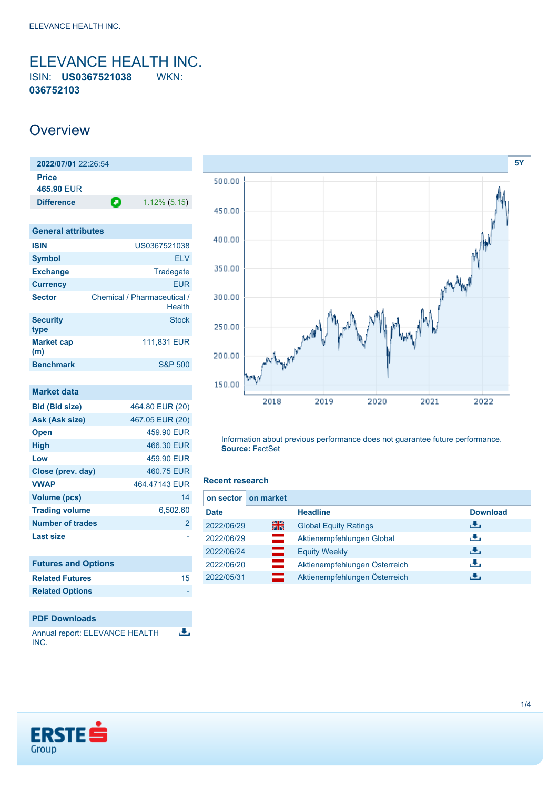<span id="page-0-0"></span>ELEVANCE HEALTH INC. ISIN: **US0367521038** WKN: **036752103**

# **Overview**

| 2022/07/01 22:26:54 |   |                 |
|---------------------|---|-----------------|
| <b>Price</b>        |   |                 |
| 465.90 EUR          |   |                 |
| <b>Difference</b>   | О | $1.12\%$ (5.15) |
|                     |   |                 |

| <b>General attributes</b> |                                       |
|---------------------------|---------------------------------------|
| <b>ISIN</b>               | US0367521038                          |
| <b>Symbol</b>             | FI V                                  |
| <b>Exchange</b>           | Tradegate                             |
| <b>Currency</b>           | <b>FUR</b>                            |
| <b>Sector</b>             | Chemical / Pharmaceutical /<br>Health |
| <b>Security</b><br>type   | <b>Stock</b>                          |
| <b>Market cap</b><br>(m)  | 111,831 EUR                           |
| <b>Benchmark</b>          | <b>S&amp;P 500</b>                    |

| Market data             |                 |
|-------------------------|-----------------|
| <b>Bid (Bid size)</b>   | 464.80 EUR (20) |
| Ask (Ask size)          | 467.05 EUR (20) |
| <b>Open</b>             | 459.90 FUR      |
| High                    | 466.30 EUR      |
| Low                     | 459.90 EUR      |
| Close (prev. day)       | 460.75 EUR      |
| <b>VWAP</b>             | 464.47143 EUR   |
| <b>Volume (pcs)</b>     | 14              |
| <b>Trading volume</b>   | 6,502.60        |
| <b>Number of trades</b> | 2               |
| Last size               |                 |
|                         |                 |

| <b>Futures and Options</b> |    |
|----------------------------|----|
| <b>Related Futures</b>     | 15 |
| <b>Related Options</b>     |    |
|                            |    |

## **PDF Downloads**

 $\overline{\mathbf{r}}$ Annual report: ELEVANCE HEALTH INC.



Information about previous performance does not guarantee future performance. **Source:** FactSet

### **Recent research**

| on sector   | on market    |                               |                 |
|-------------|--------------|-------------------------------|-----------------|
| <b>Date</b> |              | <b>Headline</b>               | <b>Download</b> |
| 2022/06/29  | 꾉쭍           | <b>Global Equity Ratings</b>  | æ.              |
| 2022/06/29  | $\equiv$     | Aktienempfehlungen Global     | رنان            |
| 2022/06/24  | ═            | <b>Equity Weekly</b>          | Æ,              |
| 2022/06/20  | <u>in di</u> | Aktienempfehlungen Österreich | æ,              |
| 2022/05/31  |              | Aktienempfehlungen Österreich | ٠₩,             |

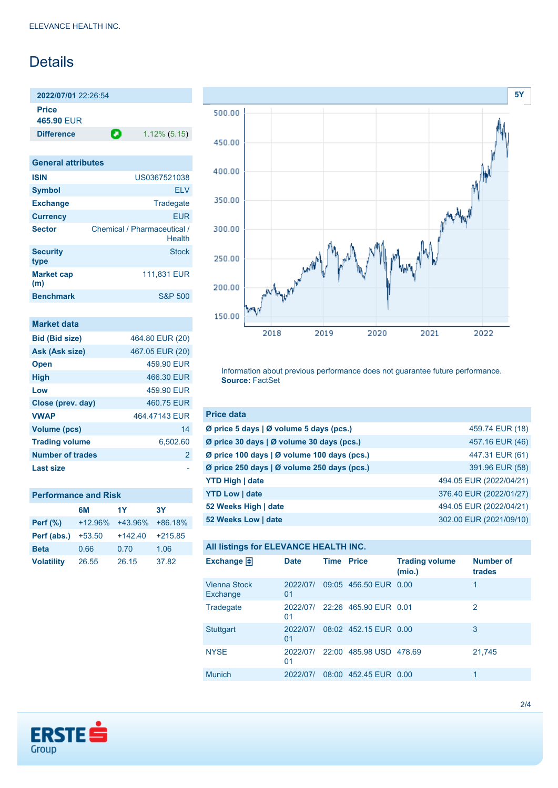# Details

**2022/07/01** 22:26:54 **Price 465.90** EUR

**Difference 1.12% (5.15)** 

**General attributes ISIN** US0367521038 **Symbol** ELV Exchange Tradegate **Currency** EUR Sector Chemical / Pharmaceutical / **Health Security type Stock Market cap (m)** 111,831 EUR **Benchmark** S&P 500

| Market data             |                 |
|-------------------------|-----------------|
| <b>Bid (Bid size)</b>   | 464.80 EUR (20) |
| Ask (Ask size)          | 467.05 EUR (20) |
| <b>Open</b>             | 459.90 EUR      |
| <b>High</b>             | 466.30 EUR      |
| Low                     | 459.90 EUR      |
| Close (prev. day)       | 460.75 EUR      |
| <b>VWAP</b>             | 464 47143 FUR   |
| Volume (pcs)            | 14              |
| <b>Trading volume</b>   | 6,502.60        |
| <b>Number of trades</b> | 2               |
| <b>Last size</b>        |                 |

### **Performance and Risk**

|                   | 6M        | 1Y        | <b>3Y</b> |
|-------------------|-----------|-----------|-----------|
| <b>Perf</b> (%)   | $+12.96%$ | +43.96%   | $+86.18%$ |
| Perf (abs.)       | $+53.50$  | $+142.40$ | $+215.85$ |
| <b>Beta</b>       | 0.66      | 0.70      | 1.06      |
| <b>Volatility</b> | 26.55     | 26.15     | 37.82     |



Information about previous performance does not guarantee future performance. **Source:** FactSet

| <b>Price data</b>                                     |                         |
|-------------------------------------------------------|-------------------------|
| Ø price 5 days $\vert \emptyset$ volume 5 days (pcs.) | 459.74 EUR (18)         |
| Ø price 30 days   Ø volume 30 days (pcs.)             | 457.16 EUR (46)         |
| Ø price 100 days   Ø volume 100 days (pcs.)           | 447.31 EUR (61)         |
| Ø price 250 days   Ø volume 250 days (pcs.)           | 391.96 EUR (58)         |
| <b>YTD High   date</b>                                | 494.05 EUR (2022/04/21) |
| <b>YTD Low   date</b>                                 | 376.40 EUR (2022/01/27) |
| 52 Weeks High   date                                  | 494.05 EUR (2022/04/21) |
| 52 Weeks Low   date                                   | 302.00 EUR (2021/09/10) |

### **All listings for ELEVANCE HEALTH INC.**

| Exchange $\Box$                 | <b>Date</b>    | <b>Time Price</b> |                                | <b>Trading volume</b><br>(mio.) | <b>Number of</b><br>trades |
|---------------------------------|----------------|-------------------|--------------------------------|---------------------------------|----------------------------|
| <b>Vienna Stock</b><br>Exchange | 2022/07/<br>01 |                   | 09:05 456.50 EUR 0.00          |                                 | 1                          |
| Tradegate                       | 01             |                   | 2022/07/ 22:26 465.90 EUR 0.01 |                                 | 2                          |
| <b>Stuttgart</b>                | 2022/07/<br>01 |                   | 08:02 452.15 EUR 0.00          |                                 | 3                          |
| <b>NYSE</b>                     | 2022/07/<br>01 |                   | 22:00 485.98 USD 478.69        |                                 | 21,745                     |
| <b>Munich</b>                   | 2022/07/       |                   | 08:00 452.45 EUR 0.00          |                                 | 1                          |

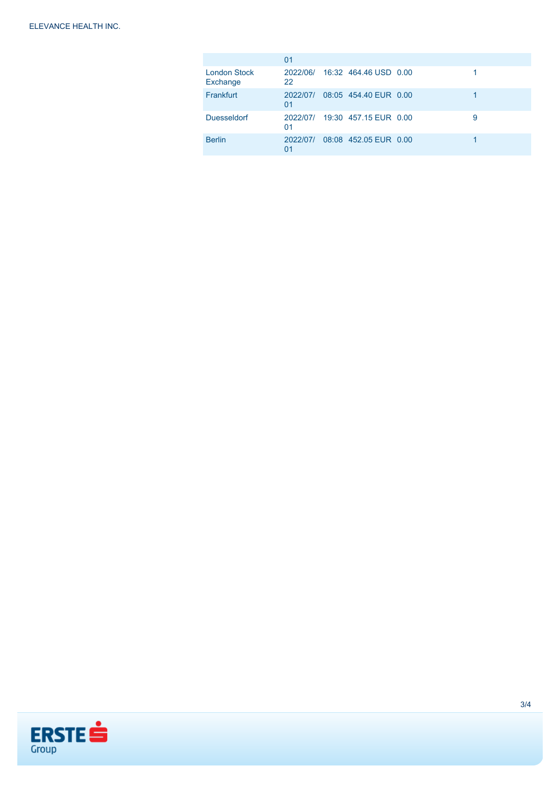|                                 | 01             |                                |   |
|---------------------------------|----------------|--------------------------------|---|
| <b>London Stock</b><br>Exchange | 22             | 2022/06/ 16:32 464.46 USD 0.00 |   |
| Frankfurt                       | 2022/07/<br>01 | 08:05 454.40 EUR 0.00          |   |
| <b>Duesseldorf</b>              | 01             | 2022/07/ 19:30 457.15 EUR 0.00 | 9 |
| <b>Berlin</b>                   | 2022/07/<br>01 | 08:08 452.05 EUR 0.00          |   |